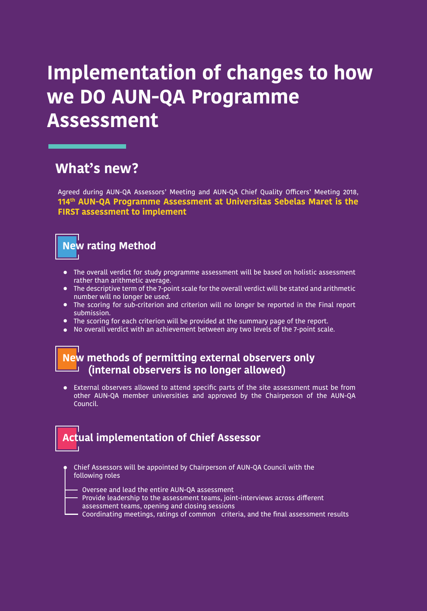# **Implementation of changes to how we DO AUN-QA Programme Assessment**

### **What's new?**

Agreed during AUN-QA Assessors' Meeting and AUN-QA Chief Quality Officers' Meeting 2018, **114th AUN-QA Programme Assessment at Universitas Sebelas Maret is the FIRST assessment to implement**

### **New rating Method**

- The overall verdict for study programme assessment will be based on holistic assessment rather than arithmetic average.
- The descriptive term of the 7-point scale for the overall verdict will be stated and arithmetic number will no longer be used.
- The scoring for sub-criterion and criterion will no longer be reported in the Final report submission.
- The scoring for each criterion will be provided at the summary page of the report.
- No overall verdict with an achievement between any two levels of the 7-point scale.

#### **New methods of permitting external observers only (internal observers is no longer allowed)**

External observers allowed to attend specific parts of the site assessment must be from other AUN-QA member universities and approved by the Chairperson of the AUN-QA Council.

## **Actual implementation of Chief Assessor**

- Chief Assessors will be appointed by Chairperson of AUN-QA Council with the following roles
- Oversee and lead the entire AUN-QA assessment
- Provide leadership to the assessment teams, joint-interviews across different assessment teams, opening and closing sessions
- Coordinating meetings, ratings of common criteria, and the final assessment results